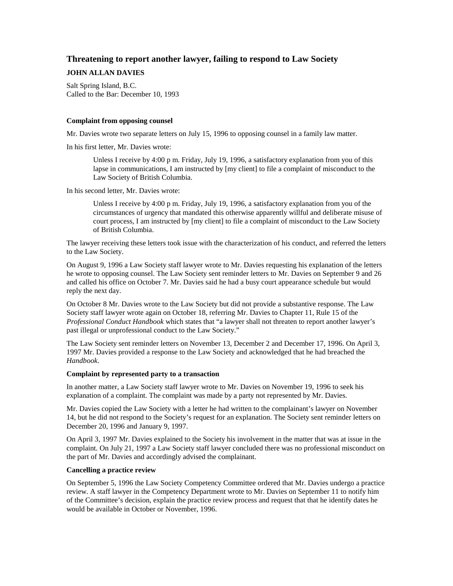## **Threatening to report another lawyer, failing to respond to Law Society**

# **JOHN ALLAN DAVIES**

Salt Spring Island, B.C. Called to the Bar: December 10, 1993

#### **Complaint from opposing counsel**

Mr. Davies wrote two separate letters on July 15, 1996 to opposing counsel in a family law matter.

In his first letter, Mr. Davies wrote:

Unless I receive by 4:00 p m. Friday, July 19, 1996, a satisfactory explanation from you of this lapse in communications, I am instructed by [my client] to file a complaint of misconduct to the Law Society of British Columbia.

In his second letter, Mr. Davies wrote:

Unless I receive by 4:00 p m. Friday, July 19, 1996, a satisfactory explanation from you of the circumstances of urgency that mandated this otherwise apparently willful and deliberate misuse of court process, I am instructed by [my client] to file a complaint of misconduct to the Law Society of British Columbia.

The lawyer receiving these letters took issue with the characterization of his conduct, and referred the letters to the Law Society.

On August 9, 1996 a Law Society staff lawyer wrote to Mr. Davies requesting his explanation of the letters he wrote to opposing counsel. The Law Society sent reminder letters to Mr. Davies on September 9 and 26 and called his office on October 7. Mr. Davies said he had a busy court appearance schedule but would reply the next day.

On October 8 Mr. Davies wrote to the Law Society but did not provide a substantive response. The Law Society staff lawyer wrote again on October 18, referring Mr. Davies to Chapter 11, Rule 15 of the *Professional Conduct Handbook* which states that "a lawyer shall not threaten to report another lawyer's past illegal or unprofessional conduct to the Law Society."

The Law Society sent reminder letters on November 13, December 2 and December 17, 1996. On April 3, 1997 Mr. Davies provided a response to the Law Society and acknowledged that he had breached the *Handbook*.

### **Complaint by represented party to a transaction**

In another matter, a Law Society staff lawyer wrote to Mr. Davies on November 19, 1996 to seek his explanation of a complaint. The complaint was made by a party not represented by Mr. Davies.

Mr. Davies copied the Law Society with a letter he had written to the complainant's lawyer on November 14, but he did not respond to the Society's request for an explanation. The Society sent reminder letters on December 20, 1996 and January 9, 1997.

On April 3, 1997 Mr. Davies explained to the Society his involvement in the matter that was at issue in the complaint. On July 21, 1997 a Law Society staff lawyer concluded there was no professional misconduct on the part of Mr. Davies and accordingly advised the complainant.

#### **Cancelling a practice review**

On September 5, 1996 the Law Society Competency Committee ordered that Mr. Davies undergo a practice review. A staff lawyer in the Competency Department wrote to Mr. Davies on September 11 to notify him of the Committee's decision, explain the practice review process and request that that he identify dates he would be available in October or November, 1996.